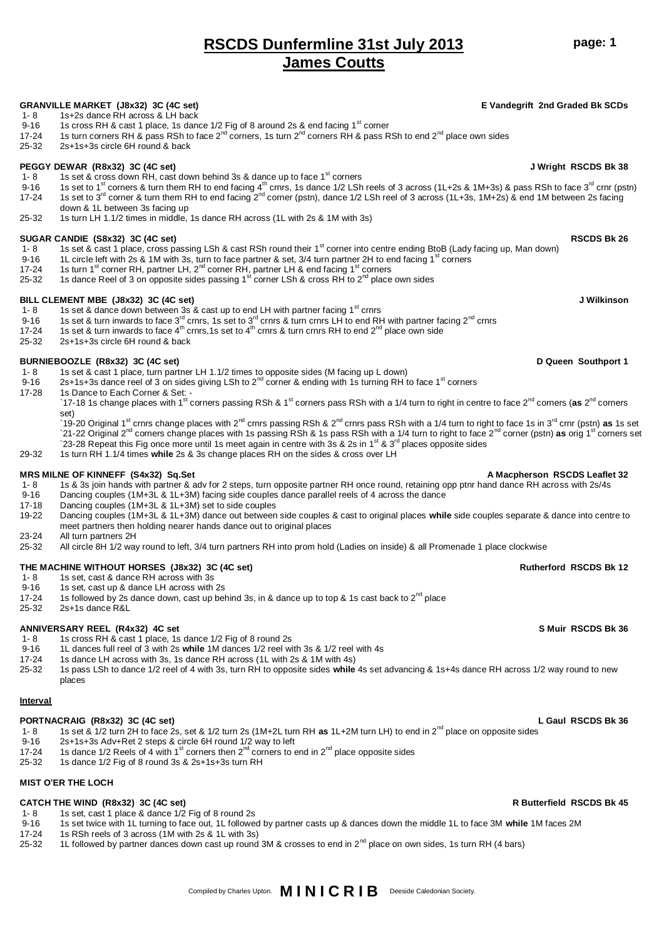25-32 1L followed by partner dances down cast up round 3M & crosses to end in  $2^{nd}$  place on own sides, 1s turn RH (4 bars)

## **RSCDS Dunfermline 31st July 2013 James Coutts**

### **GRANVILLE MARKET (J8x32) 3C (4C set) E Vandegrift 2nd Graded Bk SCDs**

- 1-8 1s+2s dance RH across & LH back
- 9-16 1s cross RH & cast 1 place, 1s dance  $1/2$  Fig of 8 around 2s & end facing 1<sup>st</sup> corner<br>17-24 1s turn corners RH & pass RSh to face 2<sup>nd</sup> corners 1s turn 2<sup>nd</sup> corners RH & pass R
- 15 turn corners RH & pass RSh to face  $2^{nd}$  corners, 1s turn  $2^{nd}$  corners RH & pass RSh to end  $2^{nd}$  place own sides
- 25-32 2s+1s+3s circle 6H round & back

- **PEGGY DEWAR (R8x32) 3C (4C set) J Wright RSCDS Bk 38** 1- 8 1s set & cross down RH, cast down behind 3s & dance up to face 1st corners
- 9-16 1s set to 1<sup>st</sup> corners & turn them RH to end facing 4<sup>th</sup> crnrs, 1s dance 1/2 LSh reels of 3 across (1L+2s & 1M+3s) & pass RSh to face 3<sup>rd</sup> crnr (pstn) 17-24 1s set to 3<sup>rd</sup> corner & turn them RH to end facing 2<sup>nd</sup> corner (pstn), dance 1/2 LSh reel of 3 across (1L+3s, 1M+2s) & end 1M between 2s facing down & 1L between 3s facing up
- 25-32 1s turn LH 1.1/2 times in middle, 1s dance RH across (1L with 2s & 1M with 3s)

### **SUGAR CANDIE (S8x32) 3C (4C set) RSCDS Bk 26**

- 1- 8 1s set & cast 1 place, cross passing LSh & cast RSh round their 1<sup>st</sup> corner into centre ending BtoB (Lady facing up, Man down)
- 9-16 1L circle left with 2s & 1M with 3s, turn to face partner & set,  $3/4$  turn partner 2H to end facing 1<sup>st</sup> corners
- 17-24 1s turn 1<sup>st</sup> corner RH, partner LH, 2<sup>nd</sup> corner RH, partner LH & end facing 1<sup>st</sup> corners
- 25-32 1s dance Reel of 3 on opposite sides passing 1<sup>st</sup> corner LSh & cross RH to 2<sup>nd</sup> place own sides

- **BILL CLEMENT MBE (J8x32) 3C (4C set) J Wilkinson**  1- 8 1s set & dance down between 3s & cast up to end LH with partner facing 1<sup>st</sup> crnrs<br>9-16 1s set & turn inwards to face 3<sup>rd</sup> crnrs. 1s set to 3<sup>rd</sup> crnrs & turn crnrs I H to end R H
- 9-16 1s set & turn inwards to face 3<sup>rd</sup> crnrs, 1s set to 3<sup>rd</sup> crnrs & turn crnrs LH to end RH with partner facing 2<sup>nd</sup> crnrs
- 17-24 1s set & turn inwards to face  $4^{th}$  crnrs,1s set to  $4^{th}$  crnrs & turn crnrs RH to end  $2^{nd}$  place own side
- 25-32 2s+1s+3s circle 6H round & back

- **BURNIEBOOZLE (R8x32) 3C (4C set) D Queen Southport 1** 1s set & cast 1 place, turn partner LH 1.1/2 times to opposite sides (M facing up L down)
- 9-16 2s+1s+3s dance reel of 3 on sides giving LSh to  $2^{nd}$  corner & ending with 1s turning RH to face 1<sup>st</sup> corners 17-28 1s Dance to Fach Corner & Set -
- 1s Dance to Each Corner & Set: -
	- `17-18 1s change places with 1<sup>st</sup> corners passing RSh & 1<sup>st</sup> corners pass RSh with a 1/4 turn to right in centre to face 2<sup>nd</sup> corners (as 2<sup>nd</sup> corners set)
	- <sup>\*</sup>19-20 Original 1<sup>st</sup> crnrs change places with 2<sup>nd</sup> crnrs passing RSh & 2<sup>nd</sup> crnrs pass RSh with a 1/4 turn to right to face 1s in 3<sup>rd</sup> crnr (pstn) **as** 1s set `21-22 Original 2<sup>nd</sup> corners change places with 1s passing RSh & 1s pass RSh with a 1/4 turn to right to face 2<sup>nd</sup> corner (pstn) as orig 1<sup>st</sup> corners set `23-28 Repeat this Fig once more until 1s meet again in centre with 3s & 2s in 1<sup>st</sup> & 3<sup>rd</sup> places opposite sides
- 29-32 1s turn RH 1.1/4 times **while** 2s & 3s change places RH on the sides & cross over LH

### **MRS MILNE OF KINNEFF (S4x32) Sq.Set A Macpherson RSCDS Leaflet 32**

- 1- 8 1s & 3s join hands with partner & adv for 2 steps, turn opposite partner RH once round, retaining opp ptnr hand dance RH across with 2s/4s 9-16 Dancing couples (1M+3L & 1L+3M) facing side couples dance parallel reels
- 9-16 Dancing couples (1M+3L & 1L+3M) facing side couples dance parallel reels of 4 across the dance<br>17-18 Dancing couples (1M+3L & 1L+3M) set to side couples
- Dancing couples (1M+3L & 1L+3M) set to side couples
- 19-22 Dancing couples (1M+3L & 1L+3M) dance out between side couples & cast to original places **while** side couples separate & dance into centre to meet partners then holding nearer hands dance out to original places
- 23-24 All turn partners 2H<br>25-32 All circle 8H 1/2 way
- All circle 8H 1/2 way round to left, 3/4 turn partners RH into prom hold (Ladies on inside) & all Promenade 1 place clockwise

## **THE MACHINE WITHOUT HORSES (J8x32) 3C (4C set) Rutherford RSCDS Bk 12**<br>1- 8 and 15 set cast & dance RH across with 3s

- 1s set, cast & dance RH across with 3s
- 9-16 1s set, cast up & dance LH across with 2s
- 17-24 1s followed by 2s dance down, cast up behind 3s, in & dance up to top & 1s cast back to 2<sup>nd</sup> place<br>25-32 2s+1s dance R&L
- 2s+1s dance R&L

- ANNIVERSARY REEL (R4x32) 4C set<br>1- 8 1s cross RH & cast 1 place, 1s dance 1/2 Fig of 8 round 2s<br>1- 8 1s cross RH & cast 1 place, 1s dance 1/2 Fig of 8 round 2s 1s cross RH & cast 1 place, 1s dance 1/2 Fig of 8 round 2s
- 9-16 1L dances full reel of 3 with 2s **while** 1M dances 1/2 reel with 3s & 1/2 reel with 4s
- 17-24 1s dance LH across with 3s, 1s dance RH across (1L with 2s & 1M with 4s)<br>25-32 1s pass LSh to dance 1/2 reel of 4 with 3s, turn RH to opposite sides while

25-32 1s pass LSh to dance 1/2 reel of 4 with 3s, turn RH to opposite sides **while** 4s set advancing & 1s+4s dance RH across 1/2 way round to new places

### **Interval**

### **PORTNACRAIG (R8x32) 3C (4C set) L Gaul RSCDS Bk 36**

- 1- 8 1s set & 1/2 turn 2H to face 2s, set & 1/2 turn 2s (1M+2L turn RH **as** 1L+2M turn LH) to end in 2nd place on opposite sides
- 
- 9-16 2s+1s+3s Adv+Ret 2 steps & circle 6H round  $1/2$  way to left  $17-24$  1s dance  $1/2$  Reels of 4 with  $1<sup>st</sup>$  corners then  $2<sup>nd</sup>$  corners to  $\epsilon$ 17-24 1s dance 1/2 Reels of 4 with 1<sup>st</sup> corners then 2<sup>nd</sup> corners to end in 2<sup>nd</sup> place opposite sides<br>25-32 1s dance 1/2 Fig of 8 round 3s & 2s+1s+3s turn RH
- 25-32 1s dance 1/2 Fig of 8 round 3s & 2s+1s+3s turn RH

### **MIST O'ER THE LOCH**

- **CATCH THE WIND (R8x32) 3C (4C set) R** Butterfield RSCDS Bk 45<br>
1- 8 1s set, cast 1 place & dance 1/2 Fig of 8 round 2s
- 1- 8 1s set, cast 1 place & dance 1/2 Fig of 8 round 2s<br>9-16 1s set twice with 1L turning to face out, 1L followe
	- 9-16 1s set twice with 1L turning to face out, 1L followed by partner casts up & dances down the middle 1L to face 3M **while** 1M faces 2M
- 1s RSh reels of 3 across (1M with 2s & 1L with 3s)
- 

### Compiled by Charles Upton. **M | N | C R | B** Deeside Caledonian Society.

**page: 1**